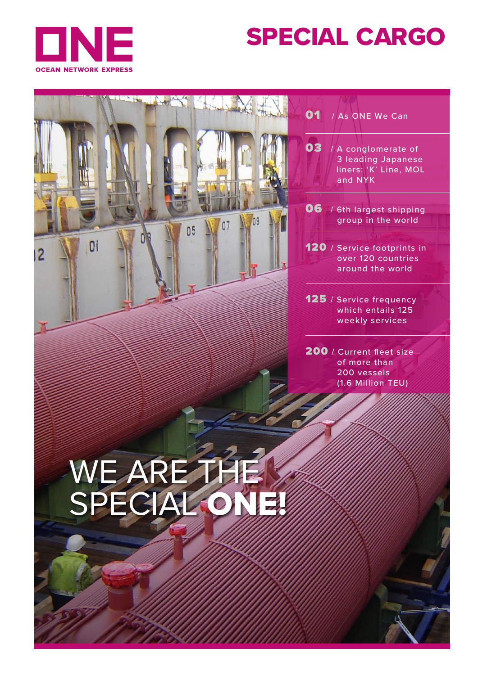

# SPECIAL CARGO

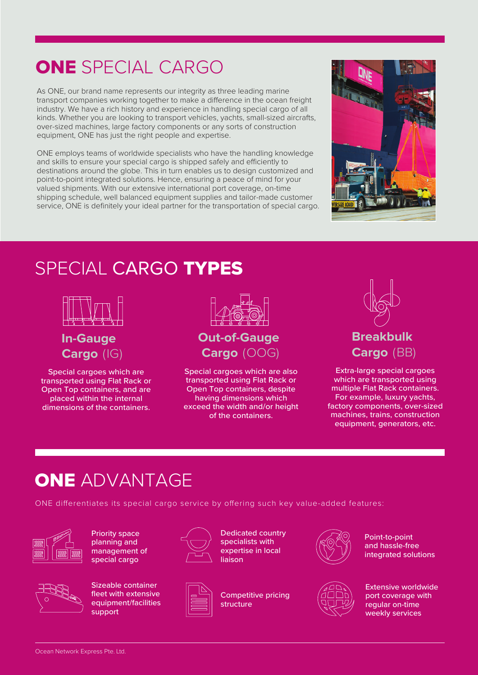## ONE SPECIAL CARGO

As ONE, our brand name represents our integrity as three leading marine transport companies working together to make a difference in the ocean freight industry. We have a rich history and experience in handling special cargo of all kinds. Whether you are looking to transport vehicles, yachts, small-sized aircrafts, over-sized machines, large factory components or any sorts of construction equipment, ONE has just the right people and expertise.

ONE employs teams of worldwide specialists who have the handling knowledge and skills to ensure your special cargo is shipped safely and efficiently to destinations around the globe. This in turn enables us to design customized and point-to-point integrated solutions. Hence, ensuring a peace of mind for your valued shipments. With our extensive international port coverage, on-time shipping schedule, well balanced equipment supplies and tailor-made customer service, ONE is definitely your ideal partner for the transportation of special cargo.



### SPECIAL CARGO TYPES



**In-Gauge Cargo** (IG)

Special cargoes which are transported using Flat Rack or Open Top containers, and are placed within the internal dimensions of the containers.



Special cargoes which are also transported using Flat Rack or Open Top containers, despite having dimensions which exceed the width and/or height of the containers.



Extra-large special cargoes which are transported using multiple Flat Rack containers. For example, luxury yachts, factory components, over-sized machines, trains, construction equipment, generators, etc.

### **ONE ADVANTAGE**

ONE differentiates its special cargo service by offering such key value-added features:



Priority space planning and management of special cargo



Sizeable container fleet with extensive equipment/facilities support



Dedicated country specialists with expertise in local liaison

structure





Point-to-point and hassle-free integrated solutions



Extensive worldwide port coverage with regular on-time weekly services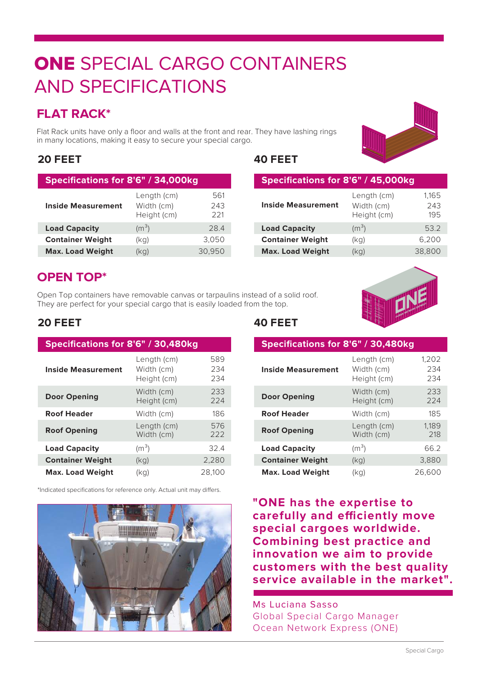## ONE SPECIAL CARGO CONTAINERS AND SPECIFICATIONS

### **FLAT RACK\***

Flat Rack units have only a floor and walls at the front and rear. They have lashing rings in many locations, making it easy to secure your special cargo.

#### **20 FEET 40 FEET**

| Specifications for 8'6" / 34,000kg |                                          |                   |  |
|------------------------------------|------------------------------------------|-------------------|--|
| <b>Inside Measurement</b>          | Length (cm)<br>Width (cm)<br>Height (cm) | 561<br>243<br>221 |  |
| <b>Load Capacity</b>               | $(m^3)$                                  | 284               |  |
| <b>Container Weight</b>            | (kq)                                     | 3.050             |  |
| <b>Max. Load Weight</b>            | (kg)                                     | 30,950            |  |



|                         | Height (cm)       | 195    |
|-------------------------|-------------------|--------|
| <b>Load Capacity</b>    | (m <sup>3</sup> ) | 53.2   |
| <b>Container Weight</b> | (kq)              | 6.200  |
| <b>Max. Load Weight</b> | (kg)              | 38.800 |

### **OPEN TOP\***

Open Top containers have removable canvas or tarpaulins instead of a solid roof. They are perfect for your special cargo that is easily loaded from the top.



#### **20 FEET 40 FEET**

| Specifications for 8'6" / 30,480kg |                                          |                   |  |  |
|------------------------------------|------------------------------------------|-------------------|--|--|
| <b>Inside Measurement</b>          | Length (cm)<br>Width (cm)<br>Height (cm) | 589<br>234<br>234 |  |  |
| <b>Door Opening</b>                | Width (cm)<br>Height (cm)                | 233<br>224        |  |  |
| <b>Roof Header</b>                 | Width (cm)                               | 186               |  |  |
| <b>Roof Opening</b>                | Length (cm)<br>Width (cm)                | 576<br>222        |  |  |
| <b>Load Capacity</b>               | (m <sup>3</sup> )                        | 32.4              |  |  |
| <b>Container Weight</b>            | (kq)                                     | 2,280             |  |  |
| <b>Max. Load Weight</b>            | (kq)                                     | 28.100            |  |  |

\*Indicated specifications for reference only. Actual unit may differs.



| Specifications for 8'6" / 30,480kg |                                          |                     |  |  |
|------------------------------------|------------------------------------------|---------------------|--|--|
| <b>Inside Measurement</b>          | Length (cm)<br>Width (cm)<br>Height (cm) | 1,202<br>234<br>234 |  |  |
| <b>Door Opening</b>                | Width (cm)<br>Height (cm)                | 233<br>224          |  |  |
| <b>Roof Header</b>                 | Width (cm)                               | 185                 |  |  |
| <b>Roof Opening</b>                | Length (cm)<br>Width (cm)                | 1.189<br>218        |  |  |
| <b>Load Capacity</b>               | (m <sup>3</sup> )                        | 66.2                |  |  |
| <b>Container Weight</b>            | (kq)                                     | 3,880               |  |  |
| <b>Max. Load Weight</b>            | (kg)                                     | 26.600              |  |  |

**"ONE has the expertise to**  carefully and efficiently move **special cargoes worldwide. Combining best practice and innovation we aim to provide customers with the best quality service available in the market".**

Ms Luciana Sasso Global Special Cargo Manager Ocean Network Express (ONE)